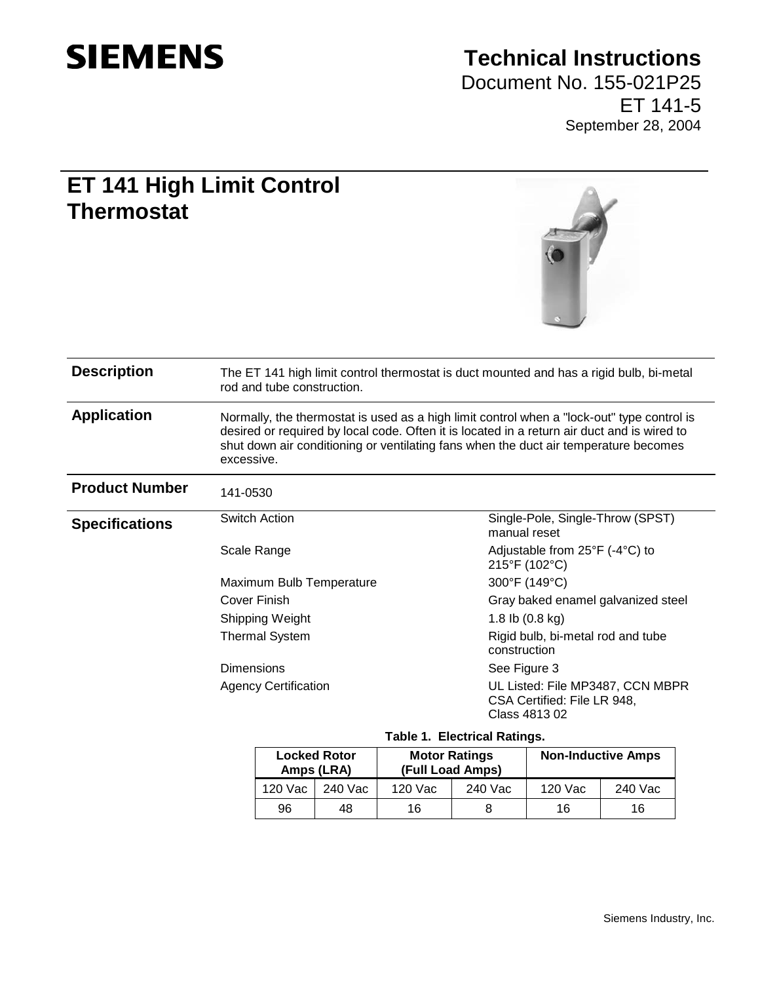

## **Technical Instructions**

Document No. 155-021P25 ET 141-5 September 28, 2004

## **ET 141 High Limit Control Thermostat**



| <b>Locked Rotor</b><br>Amps (LRA) |         | <b>Motor Ratings</b><br>(Full Load Amps) |         | <b>Non-Inductive Amps</b> |         |
|-----------------------------------|---------|------------------------------------------|---------|---------------------------|---------|
| 120 Vac                           | 240 Vac | 120 Vac                                  | 240 Vac | 120 Vac                   | 240 Vac |
| 96                                | 48      | 16                                       |         | 16                        | 16      |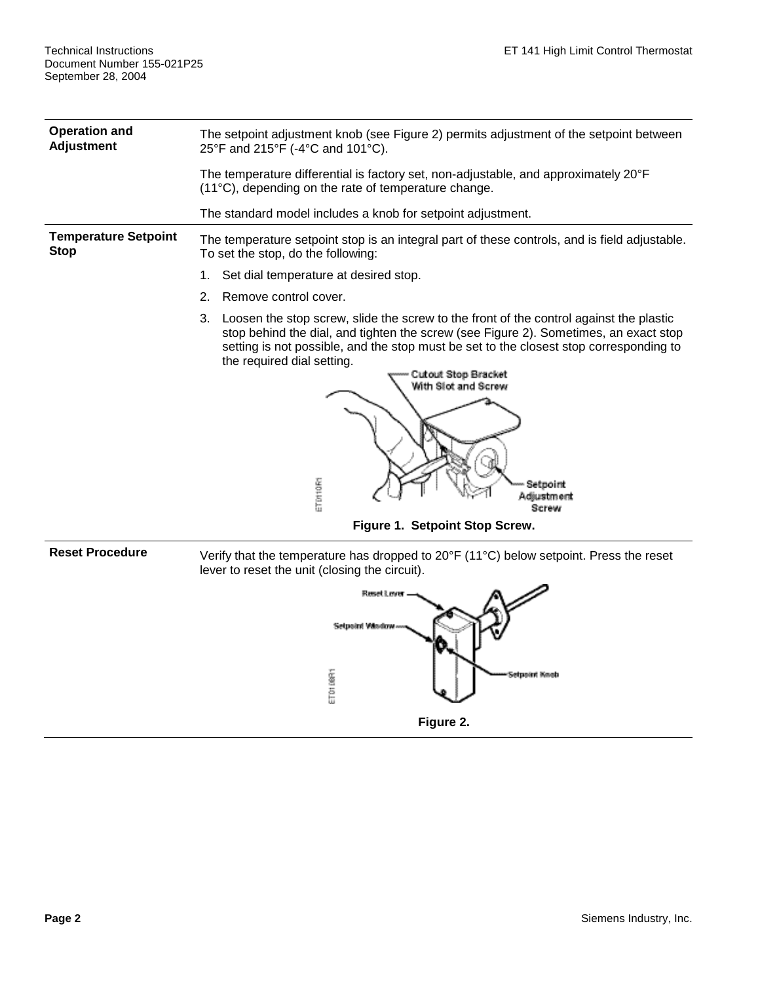| <b>Operation and</b><br><b>Adjustment</b>  | The setpoint adjustment knob (see Figure 2) permits adjustment of the setpoint between<br>25°F and 215°F (-4°C and 101°C).                                                                                                                                                                                                                                                                                |  |  |
|--------------------------------------------|-----------------------------------------------------------------------------------------------------------------------------------------------------------------------------------------------------------------------------------------------------------------------------------------------------------------------------------------------------------------------------------------------------------|--|--|
|                                            | The temperature differential is factory set, non-adjustable, and approximately 20°F<br>(11°C), depending on the rate of temperature change.                                                                                                                                                                                                                                                               |  |  |
|                                            | The standard model includes a knob for setpoint adjustment.                                                                                                                                                                                                                                                                                                                                               |  |  |
| <b>Temperature Setpoint</b><br><b>Stop</b> | The temperature setpoint stop is an integral part of these controls, and is field adjustable.<br>To set the stop, do the following:                                                                                                                                                                                                                                                                       |  |  |
|                                            | Set dial temperature at desired stop.<br>1.                                                                                                                                                                                                                                                                                                                                                               |  |  |
|                                            | 2.<br>Remove control cover.                                                                                                                                                                                                                                                                                                                                                                               |  |  |
|                                            | 3.<br>Loosen the stop screw, slide the screw to the front of the control against the plastic<br>stop behind the dial, and tighten the screw (see Figure 2). Sometimes, an exact stop<br>setting is not possible, and the stop must be set to the closest stop corresponding to<br>the required dial setting.<br>Cutout Stop Bracket<br>With Slot and Screw<br>ETD110R1<br>Setooint<br>Adiustment<br>Screw |  |  |
|                                            | Figure 1. Setpoint Stop Screw.                                                                                                                                                                                                                                                                                                                                                                            |  |  |

**Reset Procedure** Verify that the temperature has dropped to 20°F (11°C) below setpoint. Press the reset lever to reset the unit (closing the circuit).

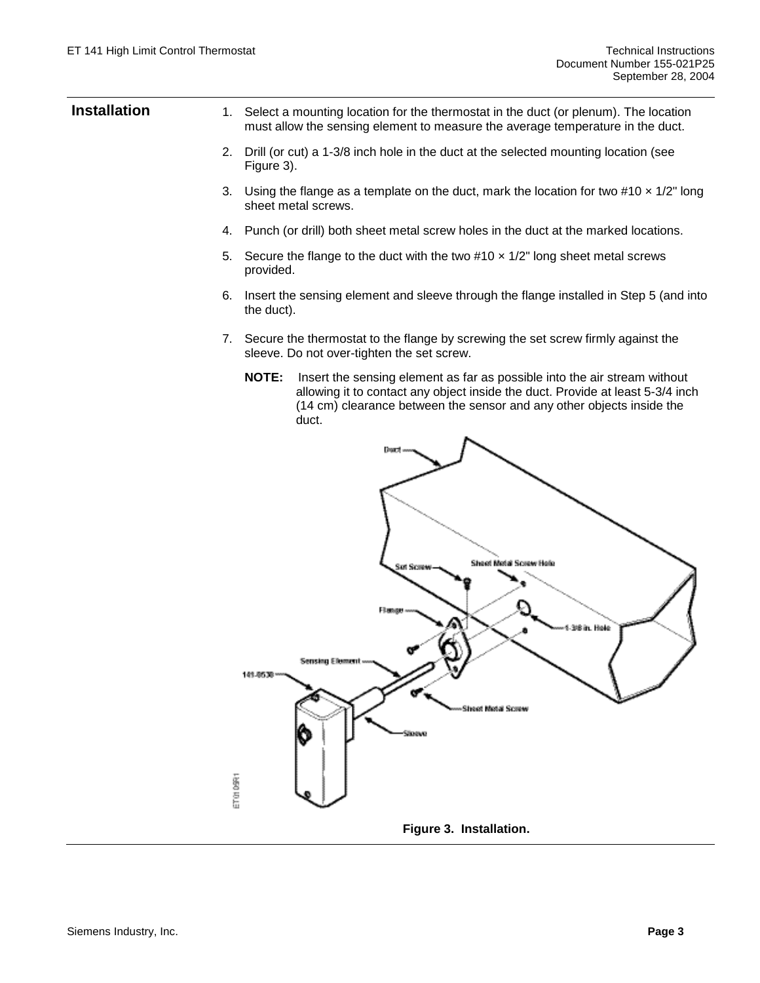| <b>Installation</b> | 1. Select a mounting location for the thermostat in the duct (or plenum). The location<br>must allow the sensing element to measure the average temperature in the duct.                                                                                      |
|---------------------|---------------------------------------------------------------------------------------------------------------------------------------------------------------------------------------------------------------------------------------------------------------|
|                     | 2.<br>Drill (or cut) a 1-3/8 inch hole in the duct at the selected mounting location (see<br>Figure 3).                                                                                                                                                       |
|                     | 3.<br>Using the flange as a template on the duct, mark the location for two #10 $\times$ 1/2" long<br>sheet metal screws.                                                                                                                                     |
|                     | Punch (or drill) both sheet metal screw holes in the duct at the marked locations.<br>4.                                                                                                                                                                      |
|                     | Secure the flange to the duct with the two $\#10 \times 1/2$ " long sheet metal screws<br>5.<br>provided.                                                                                                                                                     |
|                     | Insert the sensing element and sleeve through the flange installed in Step 5 (and into<br>6.<br>the duct).                                                                                                                                                    |
|                     | 7. Secure the thermostat to the flange by screwing the set screw firmly against the<br>sleeve. Do not over-tighten the set screw.                                                                                                                             |
|                     | <b>NOTE:</b><br>Insert the sensing element as far as possible into the air stream without<br>allowing it to contact any object inside the duct. Provide at least 5-3/4 inch<br>(14 cm) clearance between the sensor and any other objects inside the<br>duct. |
|                     | Dough                                                                                                                                                                                                                                                         |
|                     |                                                                                                                                                                                                                                                               |
|                     | Sheet Metal Screw Hels                                                                                                                                                                                                                                        |
|                     | 3/8 in. Hole                                                                                                                                                                                                                                                  |
|                     | <b>Sensing Element</b><br>141-8539                                                                                                                                                                                                                            |
|                     |                                                                                                                                                                                                                                                               |
|                     | Sheet Metal Screw<br>Storeva                                                                                                                                                                                                                                  |
|                     | ET ON DART                                                                                                                                                                                                                                                    |
|                     | Figure 3. Installation.                                                                                                                                                                                                                                       |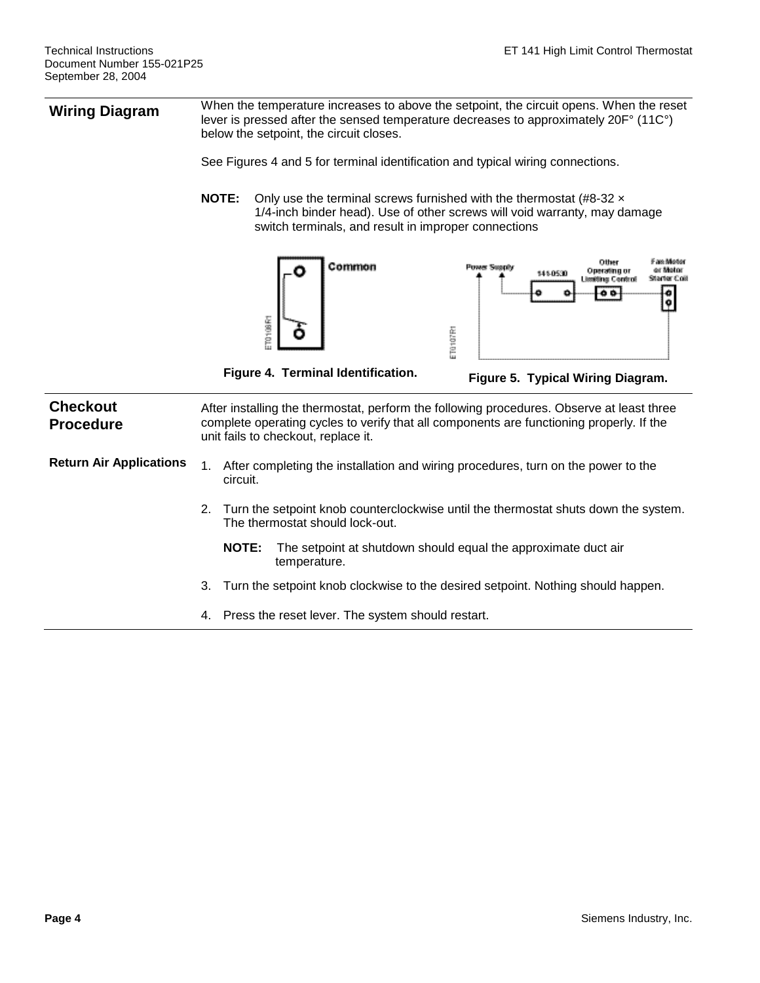**Wiring Diagram** When the temperature increases to above the setpoint, the circuit opens. When the reset **Wiring Diagram** lever is pressed after the sensed temperature decreases to approximately 20F° (11C°) below the setpoint, the circuit closes.

See Figures 4 and 5 for terminal identification and typical wiring connections.

**NOTE:** Only use the terminal screws furnished with the thermostat (#8-32  $\times$ 1/4-inch binder head). Use of other screws will void warranty, may damage switch terminals, and result in improper connections





**Figure 4. Terminal Identification. Figure 5. Typical Wiring Diagram.**

| <b>Checkout</b><br><b>Procedure</b> |    | After installing the thermostat, perform the following procedures. Observe at least three<br>complete operating cycles to verify that all components are functioning properly. If the<br>unit fails to checkout, replace it. |  |  |
|-------------------------------------|----|------------------------------------------------------------------------------------------------------------------------------------------------------------------------------------------------------------------------------|--|--|
| <b>Return Air Applications</b>      | 1. | After completing the installation and wiring procedures, turn on the power to the<br>circuit.                                                                                                                                |  |  |
|                                     |    | 2. Turn the setpoint knob counterclockwise until the thermostat shuts down the system.<br>The thermostat should lock-out.                                                                                                    |  |  |
|                                     |    | The setpoint at shutdown should equal the approximate duct air<br><b>NOTE:</b><br>temperature.                                                                                                                               |  |  |
|                                     |    | Turn the setpoint knob clockwise to the desired setpoint. Nothing should happen.                                                                                                                                             |  |  |
|                                     | 4. | Press the reset lever. The system should restart.                                                                                                                                                                            |  |  |